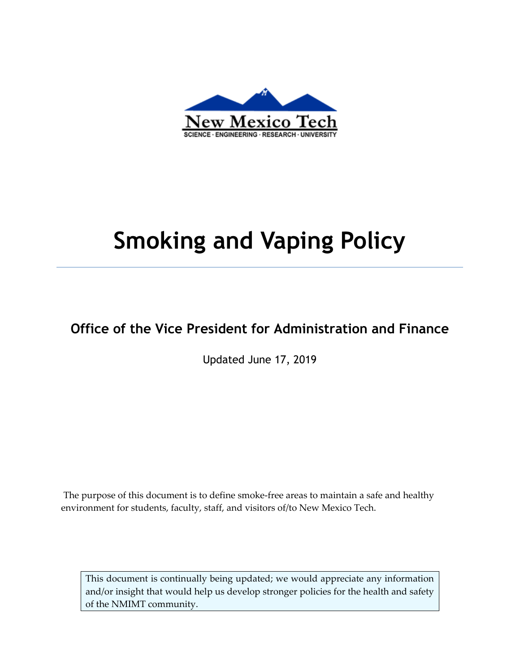

# **Smoking and Vaping Policy**

## **Office of the Vice President for Administration and Finance**

Updated June 17, 2019

The purpose of this document is to define smoke-free areas to maintain a safe and healthy environment for students, faculty, staff, and visitors of/to New Mexico Tech.

This document is continually being updated; we would appreciate any information and/or insight that would help us develop stronger policies for the health and safety of the NMIMT community.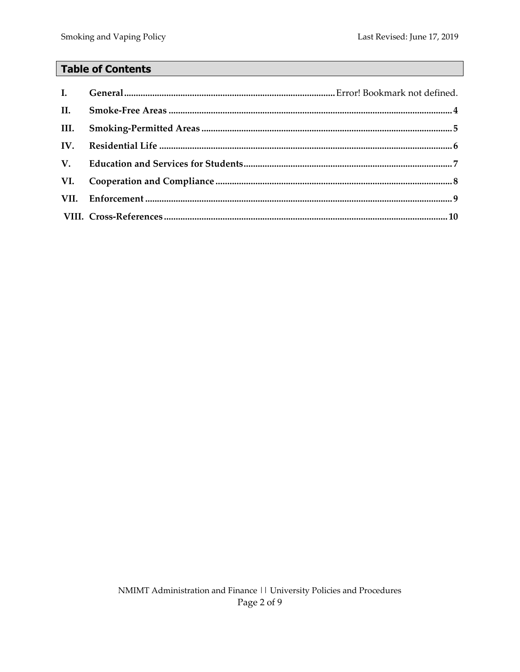### **Table of Contents**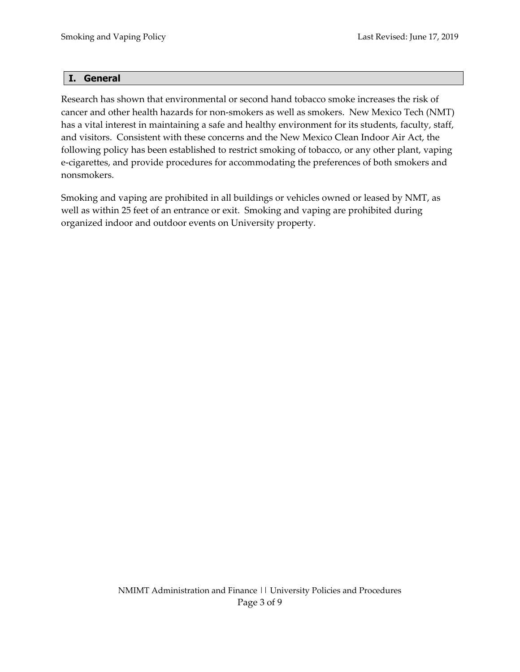#### **I. General**

Research has shown that environmental or second hand tobacco smoke increases the risk of cancer and other health hazards for non‐smokers as well as smokers. New Mexico Tech (NMT) has a vital interest in maintaining a safe and healthy environment for its students, faculty, staff, and visitors. Consistent with these concerns and the New Mexico Clean Indoor Air Act, the following policy has been established to restrict smoking of tobacco, or any other plant, vaping e‐cigarettes, and provide procedures for accommodating the preferences of both smokers and nonsmokers.

Smoking and vaping are prohibited in all buildings or vehicles owned or leased by NMT, as well as within 25 feet of an entrance or exit. Smoking and vaping are prohibited during organized indoor and outdoor events on University property.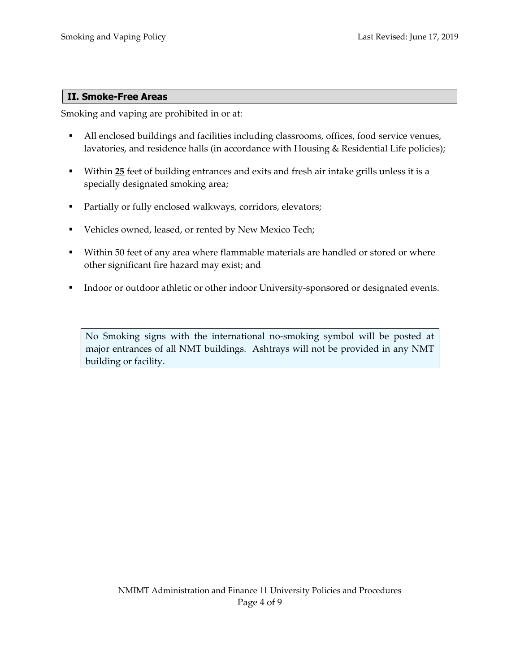#### **II. Smoke-Free Areas**

Smoking and vaping are prohibited in or at:

- All enclosed buildings and facilities including classrooms, offices, food service venues, lavatories, and residence halls (in accordance with Housing & Residential Life policies);
- Within **25** feet of building entrances and exits and fresh air intake grills unless it is a specially designated smoking area;
- **Partially or fully enclosed walkways, corridors, elevators;**
- Vehicles owned, leased, or rented by New Mexico Tech;
- **Within 50 feet of any area where flammable materials are handled or stored or where** other significant fire hazard may exist; and
- Indoor or outdoor athletic or other indoor University-sponsored or designated events.

No Smoking signs with the international no‐smoking symbol will be posted at major entrances of all NMT buildings. Ashtrays will not be provided in any NMT building or facility.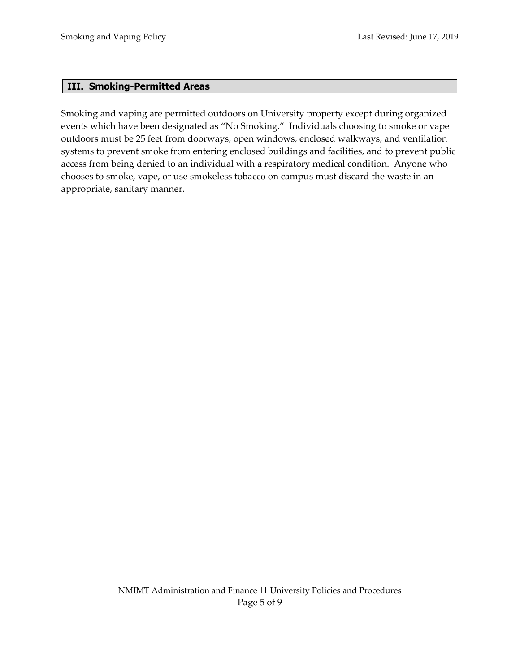#### **III. Smoking-Permitted Areas**

Smoking and vaping are permitted outdoors on University property except during organized events which have been designated as "No Smoking." Individuals choosing to smoke or vape outdoors must be 25 feet from doorways, open windows, enclosed walkways, and ventilation systems to prevent smoke from entering enclosed buildings and facilities, and to prevent public access from being denied to an individual with a respiratory medical condition. Anyone who chooses to smoke, vape, or use smokeless tobacco on campus must discard the waste in an appropriate, sanitary manner.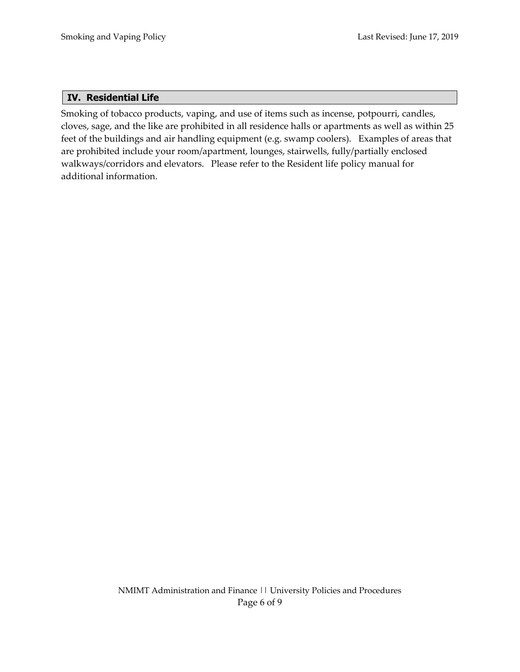#### **IV. Residential Life**

Smoking of tobacco products, vaping, and use of items such as incense, potpourri, candles, cloves, sage, and the like are prohibited in all residence halls or apartments as well as within 25 feet of the buildings and air handling equipment (e.g. swamp coolers). Examples of areas that are prohibited include your room/apartment, lounges, stairwells, fully/partially enclosed walkways/corridors and elevators. Please refer to the Resident life policy manual for additional information.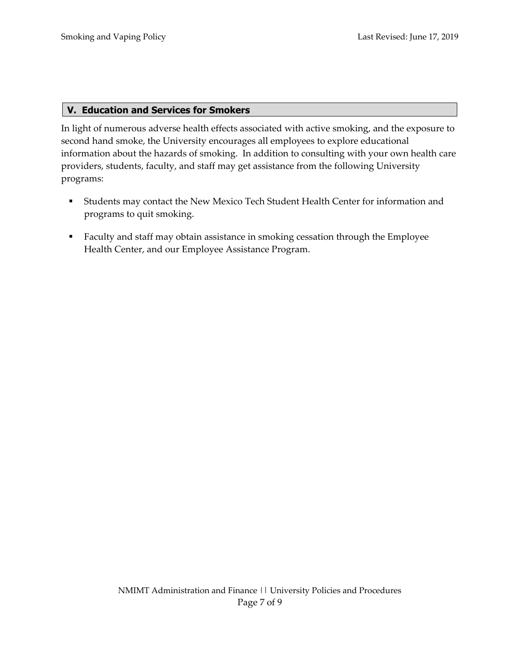#### **V. Education and Services for Smokers**

In light of numerous adverse health effects associated with active smoking, and the exposure to second hand smoke, the University encourages all employees to explore educational information about the hazards of smoking. In addition to consulting with your own health care providers, students, faculty, and staff may get assistance from the following University programs:

- Students may contact the New Mexico Tech Student Health Center for information and programs to quit smoking.
- **Faculty and staff may obtain assistance in smoking cessation through the Employee** Health Center, and our Employee Assistance Program.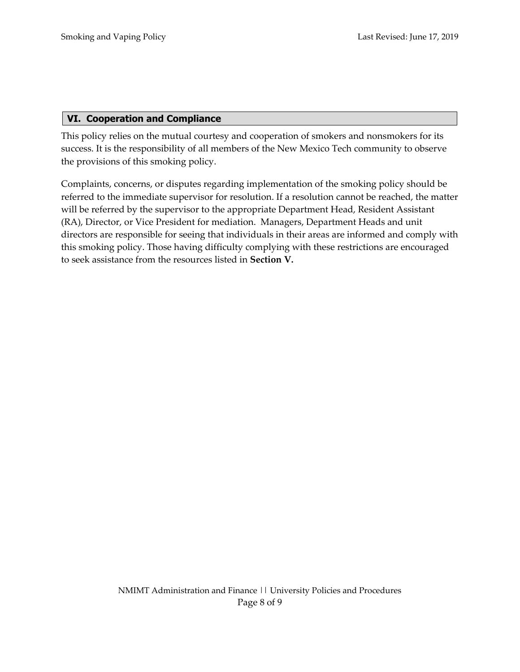#### **VI. Cooperation and Compliance**

This policy relies on the mutual courtesy and cooperation of smokers and nonsmokers for its success. It is the responsibility of all members of the New Mexico Tech community to observe the provisions of this smoking policy.

Complaints, concerns, or disputes regarding implementation of the smoking policy should be referred to the immediate supervisor for resolution. If a resolution cannot be reached, the matter will be referred by the supervisor to the appropriate Department Head, Resident Assistant (RA), Director, or Vice President for mediation. Managers, Department Heads and unit directors are responsible for seeing that individuals in their areas are informed and comply with this smoking policy. Those having difficulty complying with these restrictions are encouraged to seek assistance from the resources listed in **Section V.**